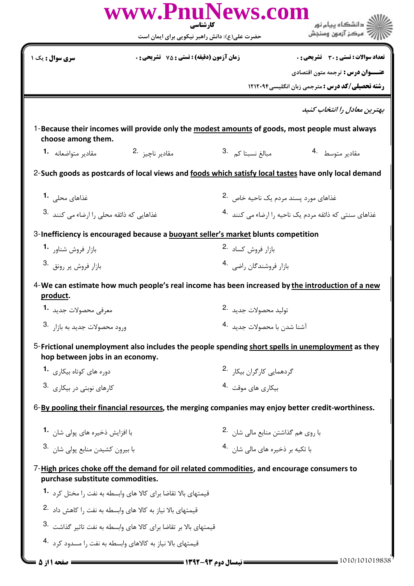|                                                                                   | www.PnuNews.com                                                                            | کار شناسی                                         | گ دانشگاه پیام نو <b>ر</b>                                                                           |  |
|-----------------------------------------------------------------------------------|--------------------------------------------------------------------------------------------|---------------------------------------------------|------------------------------------------------------------------------------------------------------|--|
|                                                                                   |                                                                                            | حضرت علی(ع): دانش راهبر نیکویی برای ایمان است     | " مرڪز آزمون وسنڊش                                                                                   |  |
| سری سوال : یک ۱                                                                   | <b>زمان آزمون (دقیقه) : تستی : 75 ٪ تشریحی : 0</b>                                         |                                                   | تعداد سوالات : تستى : 30 ٪ تشريحي : 0                                                                |  |
|                                                                                   |                                                                                            |                                                   | <b>عنـــوان درس :</b> ترجمه متون اقتصادي                                                             |  |
|                                                                                   |                                                                                            |                                                   | رشته تحصیلی/کد درس : مترجمی زبان انگلیسی1۲۱۲۰۹۴                                                      |  |
|                                                                                   |                                                                                            |                                                   | بهترین معادل را انتخاب کنید                                                                          |  |
| choose among them.                                                                |                                                                                            |                                                   | 1-Because their incomes will provide only the modest amounts of goods, most people must always       |  |
| مقادير متواضعانه 1.                                                               | مقادير ناچيز 2.                                                                            | 3. مبالغ نسبتا كم                                 | مقادير متوسط 4.                                                                                      |  |
|                                                                                   |                                                                                            |                                                   | 2-Such goods as postcards of local views and foods which satisfy local tastes have only local demand |  |
| غذاهای محلی <b>1</b> ۰                                                            |                                                                                            | غذاهای مورد پسند مردم یک ناحیه خاص <sup>2</sup> ۰ |                                                                                                      |  |
| غذاهایی که ذائقه محلی را ارضاء می کنند <sup>.3</sup>                              |                                                                                            |                                                   | غذاهای سنتی که ذائقه مردم یک ناحیه ۱۱٫ضاء می کنند 4۰                                                 |  |
| 3-Inefficiency is encouraged because a buoyant seller's market blunts competition |                                                                                            |                                                   |                                                                                                      |  |
| بازار فروش شناور <sup>-1</sup>                                                    |                                                                                            | بازار فروش كساد 2.                                |                                                                                                      |  |
| 9. بازار فروش پر رونق                                                             |                                                                                            |                                                   | بازار فروشندگان , اضى 4.                                                                             |  |
| product.                                                                          |                                                                                            |                                                   | 4-We can estimate how much people's real income has been increased by the introduction of a new      |  |
| معرفي محصولات جديد 1.                                                             |                                                                                            | توليد محصولات جديد <sup>2</sup> ۰                 |                                                                                                      |  |
| 9. ورود محصولات جديد به بازا, 3.                                                  |                                                                                            | آشنا شد <sub>ن</sub> با محصولات جدید 4.           |                                                                                                      |  |
| hop between jobs in an economy.                                                   |                                                                                            |                                                   | 5-Frictional unemployment also includes the people spending short spells in unemployment as they     |  |
| دوره های کوتاه بیکاری <b>1۰</b>                                                   |                                                                                            | گردهمایی کارگران بیکا <sub>ر</sub> .2             |                                                                                                      |  |
| کا <sub>ر</sub> های نوبتی در بیکاری <sup>3</sup> ۰                                |                                                                                            | بیکاری های موقت 4.                                |                                                                                                      |  |
|                                                                                   |                                                                                            |                                                   | 6-By pooling their financial resources, the merging companies may enjoy better credit-worthiness.    |  |
| با افزایش ذخیره های یولی شان 1۰                                                   |                                                                                            | با روى هم گذاشتن منابع مالى شان 2.                |                                                                                                      |  |
| با بیرون کشیدن منابع پولی شان <sup>3</sup> ۰                                      |                                                                                            | با تکیه بر ذخیره های مالی شان 4.                  |                                                                                                      |  |
| purchase substitute commodities.                                                  | 7-High prices choke off the demand for oil related commodities, and encourage consumers to |                                                   |                                                                                                      |  |
|                                                                                   | قیمتهای بالا تقاضا برای کالا های وابسطه به نفت ٫ا مختل کرد <b>1۰</b>                       |                                                   |                                                                                                      |  |
|                                                                                   | قیمتهای بالا نیاز به کالا های وابسطه به نفت را کاهش داد .2                                 |                                                   |                                                                                                      |  |
|                                                                                   | قیمتهای بالا بر تقاضا برای کالا های وابسطه به نفت تاثیر گذاشت <sup>.3</sup>                |                                                   |                                                                                                      |  |
|                                                                                   | قیمتهای بالا نیاز به کالاهای وابسطه به نفت را مسدود کرد 4.                                 |                                                   |                                                                                                      |  |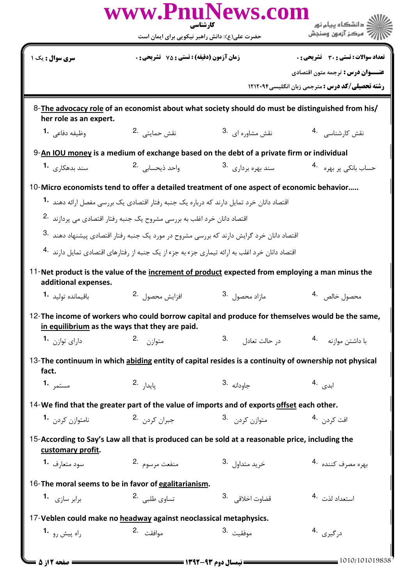|                                                                                            |                                                                                                 | www.PnuNews.com<br>کارشناسی                                                                               | <mark>ڪ دانشڪاه پيام نور</mark>                                                                       |  |  |  |
|--------------------------------------------------------------------------------------------|-------------------------------------------------------------------------------------------------|-----------------------------------------------------------------------------------------------------------|-------------------------------------------------------------------------------------------------------|--|--|--|
|                                                                                            | حضرت علی(ع): دانش راهبر نیکویی برای ایمان است                                                   |                                                                                                           | ' مرڪز آزمون وسنڊش                                                                                    |  |  |  |
| سری سوال : یک ۱                                                                            | <b>زمان آزمون (دقیقه) : تستی : 75 ٪ تشریحی : 0</b>                                              |                                                                                                           | تعداد سوالات : تستي ; 30 ٪ تشريحي ; 0                                                                 |  |  |  |
|                                                                                            |                                                                                                 |                                                                                                           | <b>عنـــوان درس :</b> ترجمه متون اقتصادي                                                              |  |  |  |
|                                                                                            |                                                                                                 |                                                                                                           | <b>رشته تحصیلی/کد درس :</b> مترجمی زبان انگلیسی1۲۱۲۰۹۴                                                |  |  |  |
| her role as an expert.                                                                     |                                                                                                 |                                                                                                           | 8-The advocacy role of an economist about what society should do must be distinguished from his/      |  |  |  |
| وظيفه دفاعي 1.                                                                             | نقش حمايتي 2.                                                                                   | نقش مشاوره ای .3                                                                                          | نقش کارشناسی 4.                                                                                       |  |  |  |
| 9-An IOU money is a medium of exchange based on the debt of a private firm or individual   |                                                                                                 |                                                                                                           |                                                                                                       |  |  |  |
| سند بدهکا <sub>ر کی</sub> <b>-1</b>                                                        | واحد ذيحسابي 2.                                                                                 | سند بهره بردا <sub>د</sub> ی 3.                                                                           | حساب بانکي پر بهره <sup>4</sup> ۰                                                                     |  |  |  |
|                                                                                            |                                                                                                 | 10-Micro economists tend to offer a detailed treatment of one aspect of economic behavior                 |                                                                                                       |  |  |  |
|                                                                                            | اقتصاد دانان خرد تمایل دارند که درباره یک جنبه رفتار اقتصادی یک بررسی مفصل ارائه دهند <b>1۰</b> |                                                                                                           |                                                                                                       |  |  |  |
|                                                                                            | اقتصاد دانان خرد اغلب به بررسی مشروح یک جنبه رفتار اقتصادی می پردازند <sup>.2</sup>             |                                                                                                           |                                                                                                       |  |  |  |
|                                                                                            |                                                                                                 | اقتصاد دانان خرد گرایش دارند که بررسی مشروح در مورد یک جنبه رفتار اقتصادی پیشنهاد دهند <sup>.3</sup>      |                                                                                                       |  |  |  |
|                                                                                            |                                                                                                 | اقتصاد دانان خرد اغلب به ارائه تیماری جزء به جزء از یک جنبه از رفتارهای اقتصادی تمایل دارند <sup>4.</sup> |                                                                                                       |  |  |  |
| additional expenses.                                                                       |                                                                                                 | 11-Net product is the value of the increment of product expected from employing a man minus the           |                                                                                                       |  |  |  |
| باقيماندە توليد <b>1</b> ۰                                                                 | افزايش محصول 2.                                                                                 | مازاد محصول <sup>.3</sup>                                                                                 | محصول خالص 4.                                                                                         |  |  |  |
|                                                                                            | in equilibrium as the ways that they are paid.                                                  |                                                                                                           | 12-The income of workers who could borrow capital and produce for themselves would be the same        |  |  |  |
| دارای توازن <sup>1</sup> ۰                                                                 | متوازن 2.                                                                                       | د <sub>ر</sub> حالت تعادل <sup>3.</sup>                                                                   | با داشتن موازنه م                                                                                     |  |  |  |
| fact.                                                                                      |                                                                                                 |                                                                                                           | 13-The continuum in which abiding entity of capital resides is a continuity of ownership not physical |  |  |  |
| مستمر 1.                                                                                   | 2. يايدار                                                                                       | $3.$ جاودانه                                                                                              | ابدی <sup>.4</sup>                                                                                    |  |  |  |
| 14-We find that the greater part of the value of imports and of exports offset each other. |                                                                                                 |                                                                                                           |                                                                                                       |  |  |  |
| نامتوازن کردن <b>1</b> ۰                                                                   | جبران كردن 2.                                                                                   | متوازن کردن <sup>3</sup> ۰                                                                                | افت كردن <sup>.4</sup>                                                                                |  |  |  |
| customary profit.                                                                          |                                                                                                 | 15-According to Say's Law all that is produced can be sold at a reasonable price, including the           |                                                                                                       |  |  |  |
| سود متعا <sub>د</sub> ف <b>1</b> ۰                                                         | منفعت مرسوم 2.                                                                                  | خ <sub>ر</sub> يد متداول <sup>.3</sup>                                                                    | بهره مصرف كننده 4.                                                                                    |  |  |  |
|                                                                                            | 16-The moral seems to be in favor of egalitarianism.                                            |                                                                                                           |                                                                                                       |  |  |  |
| برابر سازی <sup>-1</sup>                                                                   | تساوى طلبي . <sup>2</sup>                                                                       | قضاوت اخلاقى <sup>3</sup>                                                                                 | استعداد لذت 4.                                                                                        |  |  |  |
|                                                                                            | 17-Veblen could make no headway against neoclassical metaphysics.                               |                                                                                                           |                                                                                                       |  |  |  |
| راه پیش <sub>۶۰</sub> <b>-1</b>                                                            | موافقت 2.                                                                                       | موفقيت <sup>.3</sup>                                                                                      | د <sub>ر گیر</sub> ی .4                                                                               |  |  |  |
| <b>: صفحه 12ز 5 ـــ</b>                                                                    |                                                                                                 | <b>==</b> نیمسال دوم ۹۳-۱۳۹۲ <del>- - -</del>                                                             | 1010/101019838                                                                                        |  |  |  |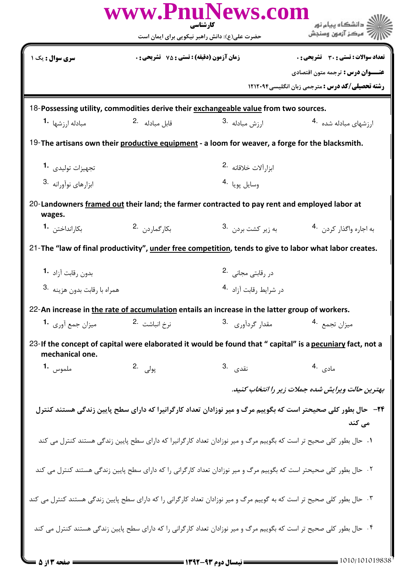|                                         |                                                    | www.PnuNews.com<br>کار شناسی                                                                                            | ڪ دانشڪاه پيام نو <b>ر</b>                                                                                            |
|-----------------------------------------|----------------------------------------------------|-------------------------------------------------------------------------------------------------------------------------|-----------------------------------------------------------------------------------------------------------------------|
|                                         |                                                    | حضرت علی(ع): دانش راهبر نیکویی برای ایمان است                                                                           | مركز آزمون وسنجش                                                                                                      |
| <b>سری سوال :</b> یک ۱                  | <b>زمان آزمون (دقیقه) : تستی : 75 ٪ تشریحی : 0</b> |                                                                                                                         | تعداد سوالات : تستى : 30 ٪ تشريحي : 0                                                                                 |
|                                         |                                                    |                                                                                                                         | <b>عنـــوان درس :</b> ترجمه متون اقتصادي                                                                              |
|                                         |                                                    |                                                                                                                         | <b>رشته تحصیلی/کد درس :</b> مترجمی زبان انگلیسی،۱۲۱۲۰۹۴                                                               |
|                                         |                                                    | 18-Possessing utility, commodities derive their exchangeable value from two sources.                                    |                                                                                                                       |
| <b>1.</b> مبادله ا $,$ شها              | قابل مبادله 2.                                     | ارزش مبادله .3                                                                                                          | ارزشهای مبادله شده <sup>4</sup> ۰                                                                                     |
|                                         |                                                    | 19-The artisans own their productive equipment - a loom for weaver, a forge for the blacksmith.                         |                                                                                                                       |
| تجهيزات توليدى 1.                       |                                                    | ابزار آلات خلاقانه 2.                                                                                                   |                                                                                                                       |
| $3.$ ابزارهای نوآورانه                  |                                                    | 4. لومان بونا                                                                                                           |                                                                                                                       |
| wages.                                  |                                                    | 20-Landowners framed out their land; the farmer contracted to pay rent and employed labor at                            |                                                                                                                       |
| بكارانداختن <b>1</b> ۰                  | بكار گما, د, 2                                     | به زیر کش <i>ت</i> بردن .3                                                                                              | به اجاره واگذار کردن . 4                                                                                              |
|                                         |                                                    |                                                                                                                         | 21-The "law of final productivity", under free competition, tends to give to labor what labor creates.                |
| بدون رقابت آزاد <sup>-1</sup>           |                                                    | در رقابتی مجانی .2                                                                                                      |                                                                                                                       |
| همراه با رقابت بدون هزينه <sup>.3</sup> |                                                    | در شرایط , قابت آ;اد <sup>4</sup> ۰                                                                                     |                                                                                                                       |
|                                         |                                                    | 22-An increase in the rate of accumulation entails an increase in the latter group of workers.                          |                                                                                                                       |
| میزان جمع آوری <b>1</b> ۰               | نرخ انباشت 2.                                      | مقدار گردآوري .3                                                                                                        | میزان تجمع 4.                                                                                                         |
| mechanical one.                         |                                                    |                                                                                                                         | 23-If the concept of capital were elaborated it would be found that " capital" is a pecuniary fact, not a             |
| ملموس <b>1.</b>                         | پول <sub>ى</sub> .2                                | نقدى .3                                                                                                                 | مادى .4                                                                                                               |
|                                         |                                                    |                                                                                                                         | بهترین حالت ویرایش شده جملات زیر را انتخاب کنید.                                                                      |
|                                         |                                                    |                                                                                                                         | <b>۳۴</b> − حال بطور کلی صحیحتر است که بگوییم مرگ و میر نوزادان تعداد کارگرانیرا که دارای سطح پایین زندگی هستند کنترل |
|                                         |                                                    |                                                                                                                         | مے کند                                                                                                                |
|                                         |                                                    | ۱. حال بطور کلی صحیح تر است که بگوییم مرگ و میر نوزادان تعداد کارگرانیرا که دارای سطح پایین زندگی هستند کنترل می کند    |                                                                                                                       |
|                                         |                                                    | ۲. حال بطور کلی صحیحتر است که بگوییم مرگ و میر نوزادان تعداد کارگرانی را که دارای سطح پایین زندگی هستند کنترل می کند    |                                                                                                                       |
|                                         |                                                    | ۰۳ حال بطور کلی صحیح تر است که به گوییم مرگ و میر نوزادان تعداد کارگرانی را که دارای سطح پایین زندگی هستند کنترل می کند |                                                                                                                       |
|                                         |                                                    | ۰۴ حال بطور کلی صحیح تر است که بگوییم مرگ و میر نوزادان تعداد کارگرانی را که دارای سطح پایین زندگی هستند کنترل می کند   |                                                                                                                       |
|                                         |                                                    | $=$ 1444 - 445 - 655 - 655 $-$                                                                                          | 010/101019838                                                                                                         |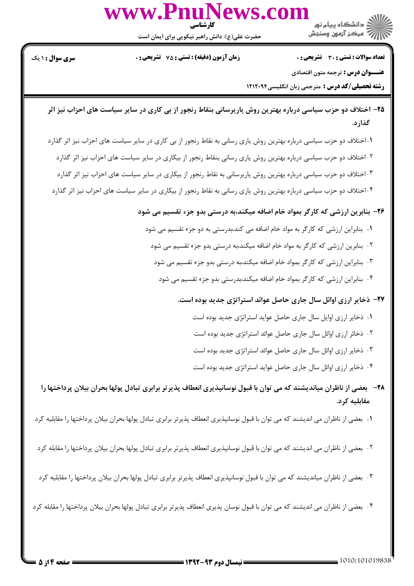

حضرت علي(ع): دانش راهبر نيكويي براي ايمان است

7' مرڪز آزمون وسنڊش

نعداد سوالات : تستي : 30 تشريحي : . زمان آزمون (دقيقه) : تستي : 75 تشريحي : 0 سري سوال : 1 يك

**عنـــوان درس :** ترجمه متون اقتصادي

**رشته تحصیلی/کد درس :** مترجمی زبان انگلیسی1۲۱۲۰۹۴

- ۲۵– اختلاف دو حزب سیاسی درباره بهترین روش یارپرسانی بنقاط رنجور از بی کاری در سایر سیاست های احزاب نیز اثر گذار د.
- ۰۱اختلاف دو حزب سیاسی درباره بهترین روش یاری رسانی به نقاط رنجور از بی کاری در سایر سیاست های احزاب نیز اثر گذارد ۰۲اختلاف دو حزب سیاسی درباره بهترین روش یاری رسانی بنقاط رنجور از بیکاری در سایر سیاست های احزاب نیز اثر گذارد ۰.۳ختلاف دو حزب سیاسی درباره بهترین روش یاریرسانی به نقاط رنجور از بیکاری در سایر سیاست های احزاب نیز اثر گذارد ۰۴ اختلاف دو حزب سیاسی درباره بهترین روش یاری رسانی به نقاط رنجور از بیکاری در سایر سیاست های احزاب نیز اثر گذارد . . .

۲۶– بنابرین ارزشی که کارگر بمواد خام اضافه میکند،به درستی بدو جزء تقسیم می شود

- ا . بنابراین ارزشی که کارگر به مواد خام اضافه می کند،بدرستی به دو جزء تقسیم می شود
	- ۰۲ بنابرین ارزشی که کارگر به مواد خام اضافه میکند،به درستی بدو جزء تقسیم می شود .
	- ۰۳ بنابراین ارزشی که کارگر بمواد خام اضافه میکند،به درستی بدو جزء تقسیم می شود .
		- ۰۴ بنابراین ارزشی که کارگر بمواد خام اضافه میکند،بدرستی بدو جزء تقسیم می شود .

۲۷– ذخایر ارزی اوائل سال جاری حاصل عوائد استراتژی جدید بوده است.

- 1. ذخاير ارزي اوايل سال جاري حاصل عوايد استراتژي جديد بوده است
- ۲. ذخائر ارزی اوائل سال جاری حاصل عوائد استراتژی جدید بوده است .
- ۰۳ ذخایر ارزی اوائل سال جاری حاصل عوائد استراتژی جدید بوده است .
- ۰۴ ذخایر ارزی اوائل سال جاری حاصل عواید استراتژی جدید بوده است .
- ۲۸− بعضی از ناظران میاندیشند که می توان با قبول نوسانپذیری انعطاف پذیر تر برابری تبادل پولها بحران بیلان پرداختها را مقابليه كرد.

ا . بعضي از ناظران مي انديشند كه مي توان با قبول نوسانپذيري انعطاف پذيرتر برابري تبادل پولها بحران بيلان پرداختها را مقابليه كرد

- <sup>۲</sup>۰ بعضي از ناظران مي انديشند كه مي توان با قبول نوسانپذيري انعطاف پذيرتر برابري تبادل پولها بحران بيلان پرداختها را مقابله كرد .
- ۰۳ بعضی از ناظران میاندیشند که می توان با قبول نوسانپذیری انعطاف پذیرتر برابری تبادل پولها بحران بیلان پرداختها را مقابلیه کرد .
- ۴ . بعضي از ناظران مي انديشند كه مي توان با قبول نوسان پذيري انعطاف پذيرتر برابري تبادل پولها بحران بيلان پرداختها را مقابله كرد .